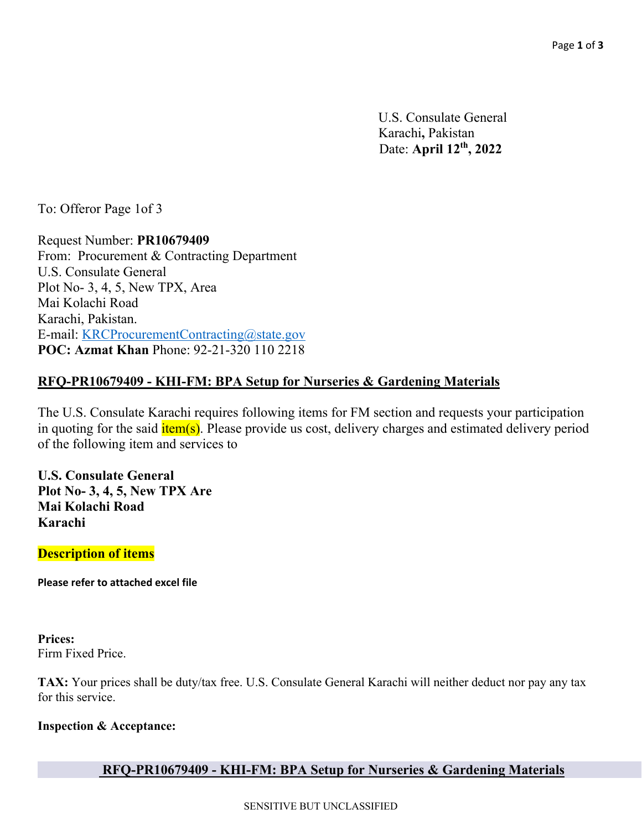U.S. Consulate General Karachi**,** Pakistan Date: **April 12th, 2022**

To: Offeror Page 1of 3

Request Number: **PR10679409**  From: Procurement & Contracting Department U.S. Consulate General Plot No- 3, 4, 5, New TPX, Area Mai Kolachi Road Karachi, Pakistan. E-mail: KRCProcurementContracting@state.gov **POC: Azmat Khan** Phone: 92-21-320 110 2218

## **RFQ-PR10679409 - KHI-FM: BPA Setup for Nurseries & Gardening Materials**

The U.S. Consulate Karachi requires following items for FM section and requests your participation in quoting for the said  $\frac{i \text{tem(s)}}{i \text{em(s)}}$ . Please provide us cost, delivery charges and estimated delivery period of the following item and services to

**U.S. Consulate General Plot No- 3, 4, 5, New TPX Are Mai Kolachi Road Karachi**

**Description of items**

**Please refer to attached excel file** 

**Prices:**  Firm Fixed Price.

**TAX:** Your prices shall be duty/tax free. U.S. Consulate General Karachi will neither deduct nor pay any tax for this service.

#### **Inspection & Acceptance:**

# **RFQ-PR10679409 - KHI-FM: BPA Setup for Nurseries & Gardening Materials**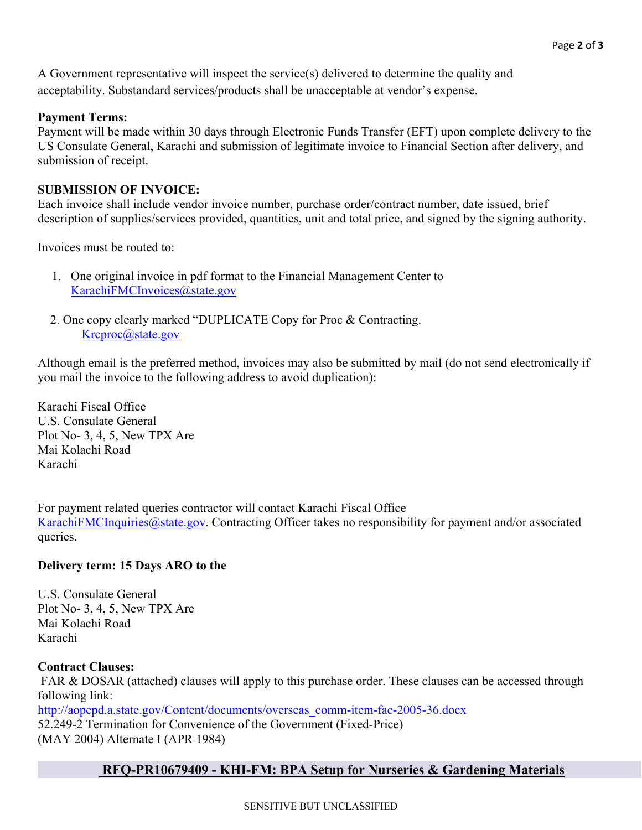A Government representative will inspect the service(s) delivered to determine the quality and acceptability. Substandard services/products shall be unacceptable at vendor's expense.

#### **Payment Terms:**

Payment will be made within 30 days through Electronic Funds Transfer (EFT) upon complete delivery to the US Consulate General, Karachi and submission of legitimate invoice to Financial Section after delivery, and submission of receipt.

#### **SUBMISSION OF INVOICE:**

Each invoice shall include vendor invoice number, purchase order/contract number, date issued, brief description of supplies/services provided, quantities, unit and total price, and signed by the signing authority.

Invoices must be routed to:

- 1. One original invoice in pdf format to the Financial Management Center to KarachiFMCInvoices@state.gov
- 2. One copy clearly marked "DUPLICATE Copy for Proc & Contracting. Krcproc@state.gov

Although email is the preferred method, invoices may also be submitted by mail (do not send electronically if you mail the invoice to the following address to avoid duplication):

Karachi Fiscal Office U.S. Consulate General Plot No- 3, 4, 5, New TPX Are Mai Kolachi Road Karachi

For payment related queries contractor will contact Karachi Fiscal Office KarachiFMCInquiries@state.gov. Contracting Officer takes no responsibility for payment and/or associated queries.

### **Delivery term: 15 Days ARO to the**

U.S. Consulate General Plot No- 3, 4, 5, New TPX Are Mai Kolachi Road Karachi

#### **Contract Clauses:**

FAR & DOSAR (attached) clauses will apply to this purchase order. These clauses can be accessed through following link:

http://aopepd.a.state.gov/Content/documents/overseas\_comm-item-fac-2005-36.docx 52.249-2 Termination for Convenience of the Government (Fixed-Price) (MAY 2004) Alternate I (APR 1984)

# **RFQ-PR10679409 - KHI-FM: BPA Setup for Nurseries & Gardening Materials**